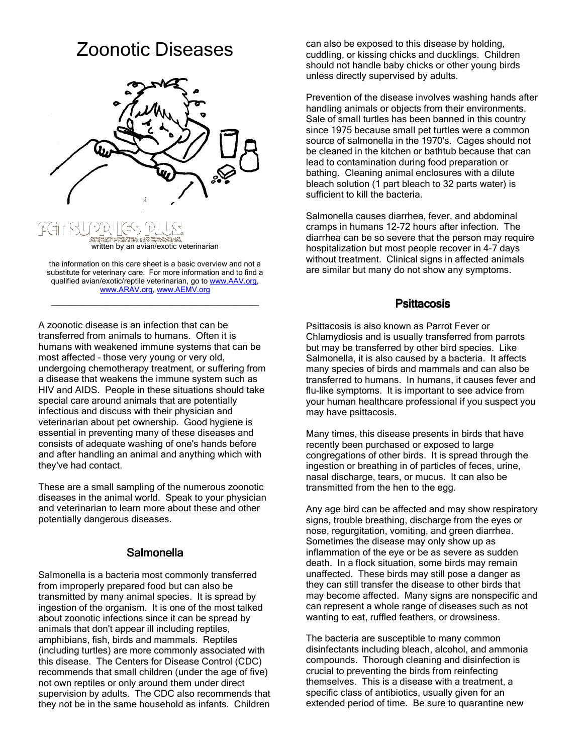# Zoonotic Diseases



written by an avian/exotic veterinarian

the information on this care sheet is a basic overview and not a substitute for veterinary care. For more information and to find a qualified avian/exotic/reptile veterinarian, go to www.AAV.org, www.ARAV.org, www.AEMV.org

 $\overline{\phantom{a}}$  , and the set of the set of the set of the set of the set of the set of the set of the set of the set of the set of the set of the set of the set of the set of the set of the set of the set of the set of the s

A zoonotic disease is an infection that can be transferred from animals to humans. Often it is humans with weakened immune systems that can be most affected – those very young or very old, undergoing chemotherapy treatment, or suffering from a disease that weakens the immune system such as HIV and AIDS. People in these situations should take special care around animals that are potentially infectious and discuss with their physician and veterinarian about pet ownership. Good hygiene is essential in preventing many of these diseases and consists of adequate washing of one's hands before and after handling an animal and anything which with they've had contact.

These are a small sampling of the numerous zoonotic diseases in the animal world. Speak to your physician and veterinarian to learn more about these and other potentially dangerous diseases.

## **Salmonella**

Salmonella is a bacteria most commonly transferred from improperly prepared food but can also be transmitted by many animal species. It is spread by ingestion of the organism. It is one of the most talked about zoonotic infections since it can be spread by animals that don't appear ill including reptiles, amphibians, fish, birds and mammals. Reptiles (including turtles) are more commonly associated with this disease. The Centers for Disease Control (CDC) recommends that small children (under the age of five) not own reptiles or only around them under direct supervision by adults. The CDC also recommends that they not be in the same household as infants. Children

can also be exposed to this disease by holding, cuddling, or kissing chicks and ducklings. Children should not handle baby chicks or other young birds unless directly supervised by adults.

Prevention of the disease involves washing hands after handling animals or objects from their environments. Sale of small turtles has been banned in this country since 1975 because small pet turtles were a common source of salmonella in the 1970's. Cages should not be cleaned in the kitchen or bathtub because that can lead to contamination during food preparation or bathing. Cleaning animal enclosures with a dilute bleach solution (1 part bleach to 32 parts water) is sufficient to kill the bacteria.

Salmonella causes diarrhea, fever, and abdominal cramps in humans 12-72 hours after infection. The diarrhea can be so severe that the person may require hospitalization but most people recover in 4-7 days without treatment. Clinical signs in affected animals are similar but many do not show any symptoms.

#### **Psittacosis**

Psittacosis is also known as Parrot Fever or Chlamydiosis and is usually transferred from parrots but may be transferred by other bird species. Like Salmonella, it is also caused by a bacteria. It affects many species of birds and mammals and can also be transferred to humans. In humans, it causes fever and flu-like symptoms. It is important to see advice from your human healthcare professional if you suspect you may have psittacosis.

Many times, this disease presents in birds that have recently been purchased or exposed to large congregations of other birds. It is spread through the ingestion or breathing in of particles of feces, urine, nasal discharge, tears, or mucus. It can also be transmitted from the hen to the egg.

Any age bird can be affected and may show respiratory signs, trouble breathing, discharge from the eyes or nose, regurgitation, vomiting, and green diarrhea. Sometimes the disease may only show up as inflammation of the eye or be as severe as sudden death. In a flock situation, some birds may remain unaffected. These birds may still pose a danger as they can still transfer the disease to other birds that may become affected. Many signs are nonspecific and can represent a whole range of diseases such as not wanting to eat, ruffled feathers, or drowsiness.

The bacteria are susceptible to many common disinfectants including bleach, alcohol, and ammonia compounds. Thorough cleaning and disinfection is crucial to preventing the birds from reinfecting themselves. This is a disease with a treatment, a specific class of antibiotics, usually given for an extended period of time. Be sure to quarantine new